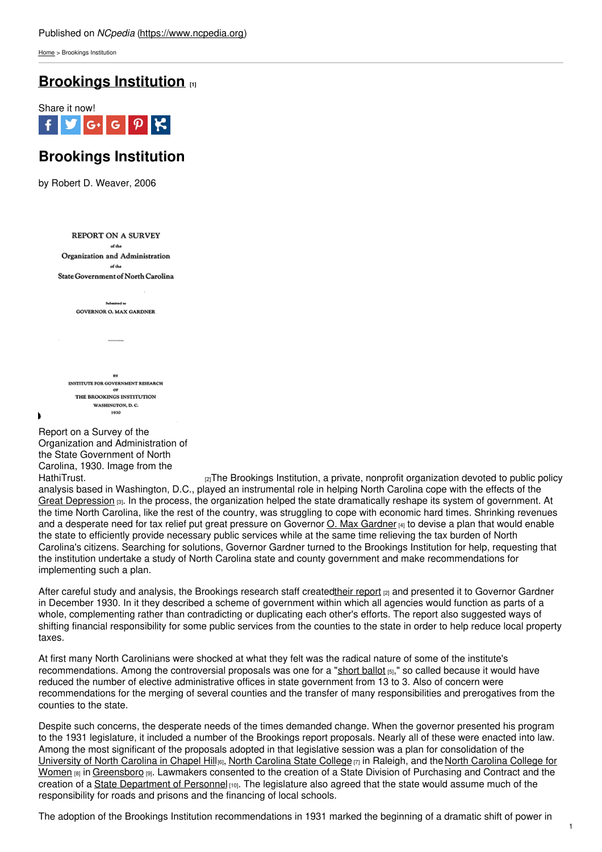[Home](https://www.ncpedia.org/) > Brookings Institution

# **[Brookings](https://www.ncpedia.org/brookings-institution) Institution [1]**



# **Brookings Institution**

by Robert D. Weaver, 2006

**REPORT ON A SURVEY** of the Organization and Administration  $\mathcal{A}$  then State Government of North Carolina

> $\overline{a}$ **GOVERNOR O. MAX GARDNER**

INSTITUTE FOR GOVERNMENT RESEARCH THE BROOKINGS INSTITUTION WASHINGTON, D. C. 1930

Report on a Survey of the Organization and Administration of the State Government of North Carolina, 1930. Image from the

[HathiTrust.](http://hdl.handle.net/2027/coo.31924014070506) **Example 2** The Brookings Institution, a private, nonprofit organization devoted to public policy analysis based in Washington, D.C., played an instrumental role in helping North Carolina cope with the effects of the Great [Depression](https://www.ncpedia.org/history/20th-Century/great-depression)  $[3]$ . In the process, the organization helped the state dramatically reshape its system of government. At the time North Carolina, like the rest of the country, was struggling to cope with economic hard times. Shrinking revenues and a desperate need for tax relief put great pressure on Governor  $Q$ . Max [Gardner](https://www.ncpedia.org/gardner-oliver-maxwell-research) [4] to devise a plan that would enable the state to efficiently provide necessary public services while at the same time relieving the tax burden of North Carolina's citizens. Searching for solutions, Governor Gardner turned to the Brookings Institution for help, requesting that the institution undertake a study of North Carolina state and county government and make recommendations for implementing such a plan.

After careful study and analysis, the Brookings research staff createdtheir [report](http://hdl.handle.net/2027/coo.31924014070506) [2] and presented it to Governor Gardner in December 1930. In it they described a scheme of government within which all agencies would function as parts of a whole, complementing rather than contradicting or duplicating each other's efforts. The report also suggested ways of shifting financial responsibility for some public services from the counties to the state in order to help reduce local property taxes.

At first many North Carolinians were shocked at what they felt was the radical nature of some of the institute's recommendations. Among the controversial proposals was one for a "short [ballot](https://www.ncpedia.org/short-ballot) [5]," so called because it would have reduced the number of elective administrative offices in state government from 13 to 3. Also of concern were recommendations for the merging of several counties and the transfer of many responsibilities and prerogatives from the counties to the state.

Despite such concerns, the desperate needs of the times demanded change. When the governor presented his program to the 1931 legislature, it included a number of the Brookings report proposals. Nearly all of these were enacted into law. Among the most significant of the proposals adopted in that legislative session was a plan for consolidation of the [University](https://www.ncpedia.org/university-north-carolina-chapel-hi) of North [Carolina](https://www.ncpedia.org/north-carolina-state-university) in Chapel Hill<sub>[6]</sub>, North Carolina State College <sub>[7]</sub> in Raleigh, and the North Carolina College for Women [8] in [Greensboro](https://www.ncpedia.org/carolina-college-women) [9]. Lawmakers consented to the creation of a State Division of Purchasing and Contract and the creation of a State [Department](http://www.osp.state.nc.us/jobs/) of Personnel [10]. The legislature also agreed that the state would assume much of the responsibility for roads and prisons and the financing of local schools.

The adoption of the Brookings Institution recommendations in 1931 marked the beginning of a dramatic shift of power in